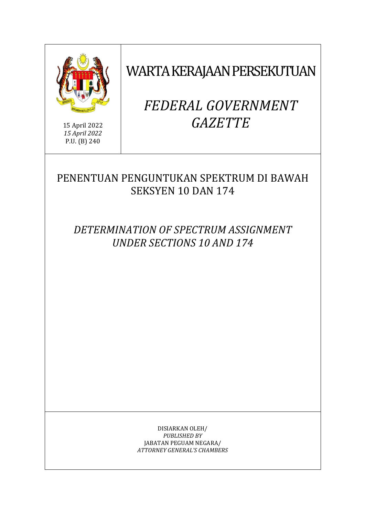

15 April 2022 *15 April 2022* P.U. (B) 240

WARTA KERAJAAN PERSEKUTUAN

# *FEDERAL GOVERNMENT GAZETTE*

# PENENTUAN PENGUNTUKAN SPEKTRUM DI BAWAH SEKSYEN 10 DAN 174

*DETERMINATION OF SPECTRUM ASSIGNMENT UNDER SECTIONS 10 AND 174*

> DISIARKAN OLEH/ *PUBLISHED BY* JABATAN PEGUAM NEGARA/ *ATTORNEY GENERAL'S CHAMBERS*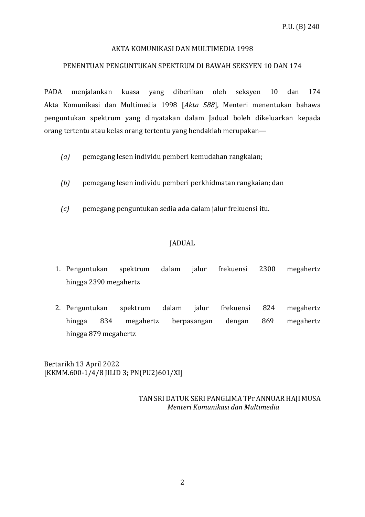### AKTA KOMUNIKASI DAN MULTIMEDIA 1998

#### PENENTUAN PENGUNTUKAN SPEKTRUM DI BAWAH SEKSYEN 10 DAN 174

PADA menjalankan kuasa yang diberikan oleh seksyen 10 dan 174 Akta Komunikasi dan Multimedia 1998 [*Akta 588*], Menteri menentukan bahawa penguntukan spektrum yang dinyatakan dalam Jadual boleh dikeluarkan kepada orang tertentu atau kelas orang tertentu yang hendaklah merupakan—

- *(a)* pemegang lesen individu pemberi kemudahan rangkaian;
- *(b)* pemegang lesen individu pemberi perkhidmatan rangkaian; dan
- *(c)* pemegang penguntukan sedia ada dalam jalur frekuensi itu.

# JADUAL

- 1. Penguntukan spektrum dalam jalur frekuensi 2300 megahertz hingga 2390 megahertz
- 2. Penguntukan spektrum dalam jalur frekuensi 824 megahertz hingga 834 megahertz berpasangan dengan 869 megahertz hingga 879 megahertz

Bertarikh 13 April 2022 [KKMM.600-1/4/8 JILID 3; PN(PU2)601/XI]

> TAN SRI DATUK SERI PANGLIMA TPr ANNUAR HAJI MUSA  *Menteri Komunikasi dan Multimedia*